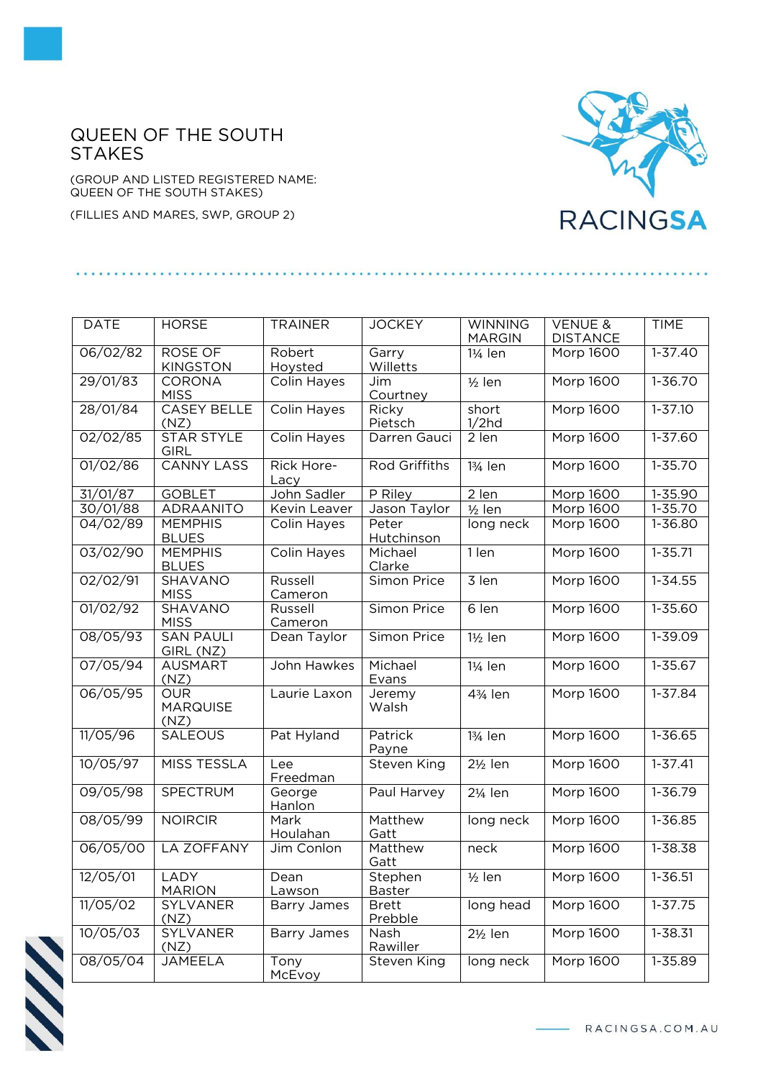## QUEEN OF THE SOUTH **STAKES**

(GROUP AND LISTED REGISTERED NAME: QUEEN OF THE SOUTH STAKES)

(FILLIES AND MARES, SWP, GROUP 2)



| <b>DATE</b> | <b>HORSE</b>                  | <b>TRAINER</b>     | <b>JOCKEY</b>           | <b>WINNING</b>       | <b>VENUE &amp;</b> | <b>TIME</b> |
|-------------|-------------------------------|--------------------|-------------------------|----------------------|--------------------|-------------|
|             |                               |                    |                         | <b>MARGIN</b>        | <b>DISTANCE</b>    |             |
| 06/02/82    | ROSE OF<br><b>KINGSTON</b>    | Robert<br>Hoysted  | Garry<br>Willetts       | 1¼ len               | Morp 1600          | $1 - 37.40$ |
| 29/01/83    | CORONA                        | Colin Hayes        | Jim                     | $1/2$ len            | <b>Morp 1600</b>   | $1 - 36.70$ |
|             | <b>MISS</b>                   |                    | Courtney                |                      |                    |             |
| 28/01/84    | <b>CASEY BELLE</b>            | Colin Hayes        | Ricky                   | short                | Morp 1600          | $1 - 37.10$ |
|             | (NZ)                          |                    | Pietsch                 | 1/2hd                |                    |             |
| 02/02/85    | <b>STAR STYLE</b>             | <b>Colin Hayes</b> | Darren Gauci            | 2 len                | <b>Morp 1600</b>   | $1 - 37.60$ |
|             | <b>GIRL</b>                   |                    |                         |                      |                    |             |
| 01/02/86    | <b>CANNY LASS</b>             | Rick Hore-<br>Lacy | Rod Griffiths           | 13/ <sub>4</sub> len | Morp 1600          | 1-35.70     |
| 31/01/87    | <b>GOBLET</b>                 | John Sadler        | P Riley                 | 2 len                | Morp 1600          | 1-35.90     |
| 30/01/88    | ADRAANITO                     | Kevin Leaver       | Jason Taylor            | $1/2$ len            | Morp 1600          | 1-35.70     |
| 04/02/89    | <b>MEMPHIS</b>                | Colin Hayes        | Peter                   | long neck            | Morp 1600          | 1-36.80     |
|             | <b>BLUES</b>                  |                    | Hutchinson              |                      |                    |             |
| 03/02/90    | <b>MEMPHIS</b>                | Colin Hayes        | Michael                 | 1 len                | Morp 1600          | $1 - 35.71$ |
|             | <b>BLUES</b>                  |                    | Clarke                  |                      |                    |             |
| 02/02/91    | SHAVANO                       | Russell            | Simon Price             | 3 len                | <b>Morp 1600</b>   | $1 - 34.55$ |
|             | <b>MISS</b>                   | Cameron            |                         |                      |                    |             |
| 01/02/92    | <b>SHAVANO</b>                | Russell            | Simon Price             | 6 len                | <b>Morp 1600</b>   | $1 - 35.60$ |
|             | <b>MISS</b>                   | Cameron            |                         |                      |                    |             |
| 08/05/93    | <b>SAN PAULI</b><br>GIRL (NZ) | Dean Taylor        | Simon Price             | $1\frac{1}{2}$ len   | <b>Morp 1600</b>   | $1 - 39.09$ |
| 07/05/94    | <b>AUSMART</b>                | John Hawkes        | Michael                 | 1¼ len               | <b>Morp 1600</b>   | $1 - 35.67$ |
|             | (NZ)                          |                    | Evans                   |                      |                    |             |
| 06/05/95    | <b>OUR</b>                    | Laurie Laxon       | Jeremy                  | 43/ <sub>4</sub> len | Morp 1600          | 1-37.84     |
|             | <b>MARQUISE</b>               |                    | Walsh                   |                      |                    |             |
|             | (NZ)                          |                    |                         |                      |                    |             |
| 11/05/96    | <b>SALEOUS</b>                | Pat Hyland         | Patrick                 | 13/ <sub>4</sub> len | Morp 1600          | 1-36.65     |
| 10/05/97    | <b>MISS TESSLA</b>            |                    | Payne                   | $2\frac{1}{2}$ len   | <b>Morp 1600</b>   | $1 - 37.41$ |
|             |                               | Lee<br>Freedman    | Steven King             |                      |                    |             |
| 09/05/98    | <b>SPECTRUM</b>               | George             | Paul Harvey             | 21/ <sub>4</sub> len | Morp 1600          | $1 - 36.79$ |
|             |                               | Hanlon             |                         |                      |                    |             |
| 08/05/99    | <b>NOIRCIR</b>                | Mark               | Matthew                 | long neck            | Morp 1600          | 1-36.85     |
|             |                               | Houlahan           | Gatt                    |                      |                    |             |
| 06/05/00    | <b>LA ZOFFANY</b>             | Jim Conlon         | Matthew<br>Gatt         | neck                 | Morp 1600          | 1-38.38     |
| 12/05/01    | LADY                          | Dean               | Stephen                 | $1/2$ len            | Morp 1600          | 1-36.51     |
|             | <b>MARION</b>                 | Lawson             | Baster                  |                      |                    |             |
| 11/05/02    | SYLVANER<br>(NZ)              | <b>Barry James</b> | <b>Brett</b><br>Prebble | long head            | Morp 1600          | $1 - 37.75$ |
| 10/05/03    | SYLVANER                      | <b>Barry James</b> | Nash                    | $2\frac{1}{2}$ len   | Morp 1600          | 1-38.31     |
|             | (NZ)                          |                    | Rawiller                |                      |                    |             |
| 08/05/04    | JAMEELA                       | Tony               | Steven King             | long neck            | Morp 1600          | $1 - 35.89$ |
|             |                               | McEvoy             |                         |                      |                    |             |